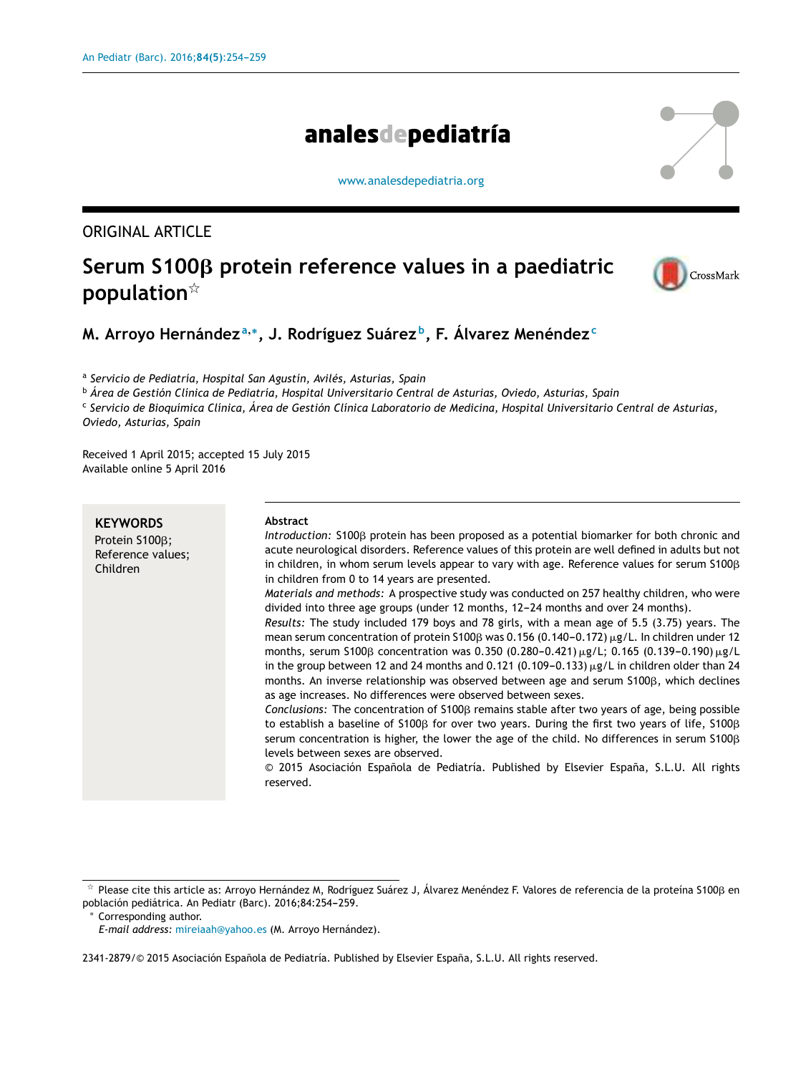# analesdepediatría

[www.analesdepediatria.org](http://www.analesdepediatria.org)

# ORIGINAL ARTICLE

# $\mathsf{Serum}\ \mathsf{S100\beta}\ \mathsf{protein}\ \mathsf{reference}\ \mathsf{values}\ \mathsf{in}\ \mathsf{a}\ \mathsf{padediatric}$ **population**-



# **M. Arroyo Hernández <sup>a</sup>**,<sup>∗</sup> **, J. Rodríguez Suárez <sup>b</sup> , F. Álvarez Menéndez<sup>c</sup>**

a *Servicio de Pediatría, Hospital San Agustín, Avilés, Asturias, Spain*

<sup>b</sup> *Área de Gestión Clínica de Pediatría, Hospital Universitario Central de Asturias, Oviedo, Asturias, Spain*

<sup>c</sup> Servicio de Bioquímica Clínica, Área de Gestión Clínica Laboratorio de Medicina, Hospital Universitario Central de Asturias, *Oviedo, Asturias, Spain*

Received 1 April 2015; accepted 15 July 2015 Available online 5 April 2016

| <b>KEYWORDS</b><br>Protein S100B;<br>Reference values;<br>Children | Abstract<br>Introduction: \$100 protein has been proposed as a potential biomarker for both chronic and<br>acute neurological disorders. Reference values of this protein are well defined in adults but not<br>in children, in whom serum levels appear to vary with age. Reference values for serum \$100 B<br>in children from 0 to 14 years are presented.<br><i>Materials and methods:</i> A prospective study was conducted on 257 healthy children, who were<br>divided into three age groups (under 12 months, 12–24 months and over 24 months).<br>Results: The study included 179 boys and 78 girls, with a mean age of 5.5 (3.75) years. The<br>mean serum concentration of protein S100 $\beta$ was 0.156 (0.140-0.172) $\mu$ g/L. In children under 12<br>months, serum S100 $\beta$ concentration was 0.350 (0.280-0.421) $\mu$ g/L; 0.165 (0.139-0.190) $\mu$ g/L<br>in the group between 12 and 24 months and 0.121 (0.109–0.133) $\mu$ g/L in children older than 24<br>months. An inverse relationship was observed between age and serum S100ß, which declines<br>as age increases. No differences were observed between sexes.<br>Conclusions: The concentration of \$100 <sub>8</sub> remains stable after two years of age, being possible<br>to establish a baseline of $5100\beta$ for over two years. During the first two years of life, $5100\beta$<br>serum concentration is higher, the lower the age of the child. No differences in serum $$100\beta$<br>levels between sexes are observed. |
|--------------------------------------------------------------------|----------------------------------------------------------------------------------------------------------------------------------------------------------------------------------------------------------------------------------------------------------------------------------------------------------------------------------------------------------------------------------------------------------------------------------------------------------------------------------------------------------------------------------------------------------------------------------------------------------------------------------------------------------------------------------------------------------------------------------------------------------------------------------------------------------------------------------------------------------------------------------------------------------------------------------------------------------------------------------------------------------------------------------------------------------------------------------------------------------------------------------------------------------------------------------------------------------------------------------------------------------------------------------------------------------------------------------------------------------------------------------------------------------------------------------------------------------------------------------------------------------------------------|
|                                                                    | © 2015 Asociación Española de Pediatría. Published by Elsevier España, S.L.U. All rights<br>reserved.                                                                                                                                                                                                                                                                                                                                                                                                                                                                                                                                                                                                                                                                                                                                                                                                                                                                                                                                                                                                                                                                                                                                                                                                                                                                                                                                                                                                                      |

<sup>∗</sup> Corresponding author.

 $^\star$  Please cite this article as: Arroyo Hernández M, Rodríguez Suárez J, Álvarez Menéndez F. Valores de referencia de la proteína S100ß en población pediátrica. An Pediatr (Barc). 2016;84:254-259.

*E-mail address:* [mireiaah@yahoo.es](mailto:mireiaah@yahoo.es) (M. Arroyo Hernández).

<sup>2341-2879/© 2015</sup> Asociación Española de Pediatría. Published by Elsevier España, S.L.U. All rights reserved.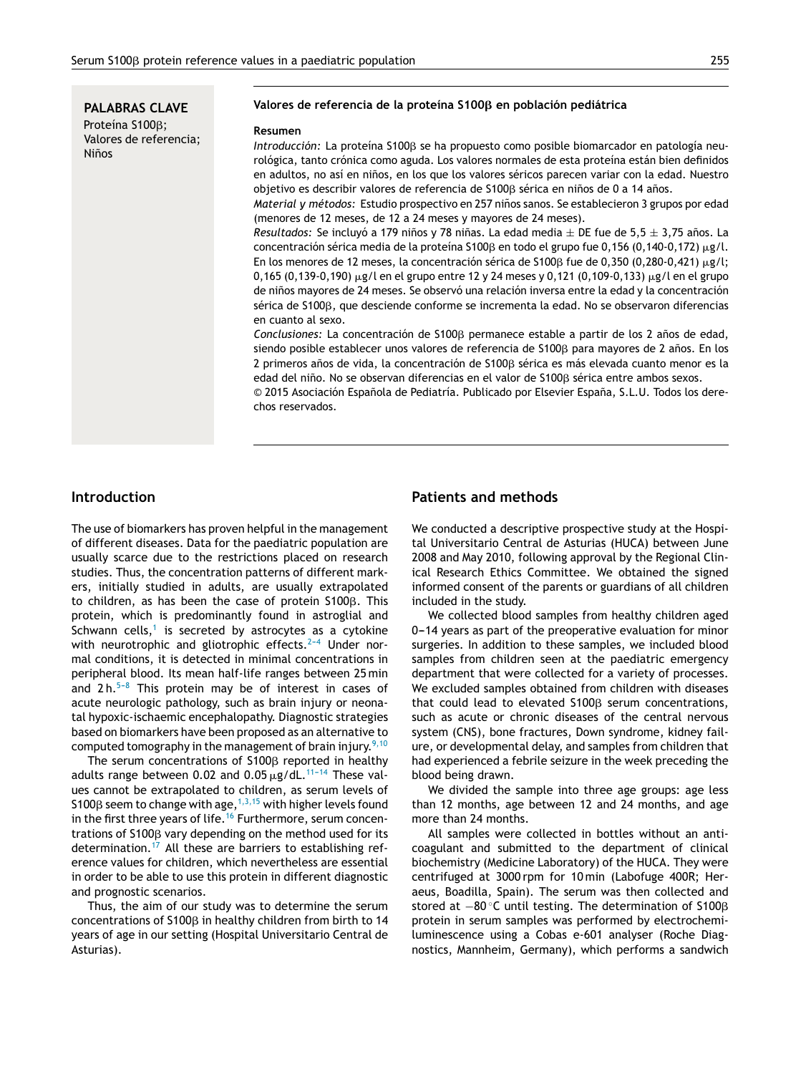**PALABRAS CLAVE** Proteína S100β; Valores de referencia; **Niños** 

#### **Valores de referencia de la proteína S100**- **en población pediátrica**

#### **Resumen**

*Introducción:* La proteína S100β se ha propuesto como posible biomarcador en patología neurológica, tanto crónica como aguda. Los valores normales de esta proteína están bien definidos en adultos, no así en niños, en los que los valores séricos parecen variar con la edad. Nuestro objetivo es describir valores de referencia de S100 $\beta$  sérica en niños de 0 a 14 años.

*Material y métodos:* Estudio prospectivo en 257 niños sanos. Se establecieron 3 grupos por edad (menores de 12 meses, de 12 a 24 meses y mayores de 24 meses).

*Resultados:* Se incluyó a 179 niños y 78 niñas. La edad media  $\pm$  DE fue de 5,5  $\pm$  3,75 años. La  $\epsilon$ oncentración sérica media de la proteína S100 $\beta$  en todo el grupo fue 0,156 (0,140-0,172)  $\mu$ g/l. En los menores de 12 meses, la concentración sérica de S100β fue de 0,350 (0,280-0,421)  $\mu$ g/l;  $0,165$  (0,139-0,190)  $\mu$ g/l en el grupo entre 12 y 24 meses y 0,121 (0,109-0,133)  $\mu$ g/l en el grupo de niños mayores de 24 meses. Se observó una relación inversa entre la edad y la concentración sérica de S100β, que desciende conforme se incrementa la edad. No se observaron diferencias en cuanto al sexo.

Conclusiones: La concentración de S100β permanece estable a partir de los 2 años de edad, siendo posible establecer unos valores de referencia de S100ß para mayores de 2 años. En los  $2$  primeros años de vida, la concentración de S100 $\beta$  sérica es más elevada cuanto menor es la edad del niño. No se observan diferencias en el valor de S100ß sérica entre ambos sexos.

© 2015 Asociación Española de Pediatría. Publicado por Elsevier España, S.L.U. Todos los derechos reservados.

### **Introduction**

The use of biomarkers has proven helpful in the management of different diseases. Data for the paediatric population are usually scarce due to the restrictions placed on research studies. Thus, the concentration patterns of different markers, initially studied in adults, are usually extrapolated to children, as has been the case of protein <code>S100</code>β. This protein, which is predominantly found in astroglial and Schwann cells,<sup>[1](#page-4-0)</sup> is secreted by astrocytes as a cytokine with neurotrophic and gliotrophic effects. $2-4$  Under normal conditions, it is detected in minimal concentrations in peripheral blood. Its mean half-life ranges between 25 min and  $2 h.5-8$  This protein may be of interest in cases of acute neurologic pathology, such as brain injury or neonatal hypoxic-ischaemic encephalopathy. Diagnostic strategies based on biomarkers have been proposed as an alternative to computed tomography in the management of brain injury.<sup>[9,10](#page-4-0)</sup>

The serum concentrations of S100 $\beta$  reported in healthy adults range between 0.02 and 0.05  $\mu$ g/dL.<sup>11-14</sup> These values cannot be extrapolated to children, as serum levels of S100 $\beta$  seem to change with age,  $^{1,3,15}$  $^{1,3,15}$  $^{1,3,15}$  with higher levels found in the first three years of life.<sup>[16](#page-5-0)</sup> Furthermore, serum concentrations of S100 $\beta$  vary depending on the method used for its determination.[17](#page-5-0) All these are barriers to establishing reference values for children, which nevertheless are essential in order to be able to use this protein in different diagnostic and prognostic scenarios.

Thus, the aim of our study was to determine the serum concentrations of S100 $\beta$  in healthy children from birth to 14 years of age in our setting (Hospital Universitario Central de Asturias).

## **Patients and methods**

We conducted a descriptive prospective study at the Hospital Universitario Central de Asturias (HUCA) between June 2008 and May 2010, following approval by the Regional Clinical Research Ethics Committee. We obtained the signed informed consent of the parents or guardians of all children included in the study.

We collected blood samples from healthy children aged 0-14 years as part of the preoperative evaluation for minor surgeries. In addition to these samples, we included blood samples from children seen at the paediatric emergency department that were collected for a variety of processes. We excluded samples obtained from children with diseases that could lead to elevated  $$100\beta$  serum concentrations, such as acute or chronic diseases of the central nervous system (CNS), bone fractures, Down syndrome, kidney failure, or developmental delay, and samples from children that had experienced a febrile seizure in the week preceding the blood being drawn.

We divided the sample into three age groups: age less than 12 months, age between 12 and 24 months, and age more than 24 months.

All samples were collected in bottles without an anticoagulant and submitted to the department of clinical biochemistry (Medicine Laboratory) of the HUCA. They were centrifuged at 3000 rpm for 10 min (Labofuge 400R; Heraeus, Boadilla, Spain). The serum was then collected and stored at −80 °C until testing. The determination of S100β protein in serum samples was performed by electrochemiluminescence using a Cobas e-601 analyser (Roche Diagnostics, Mannheim, Germany), which performs a sandwich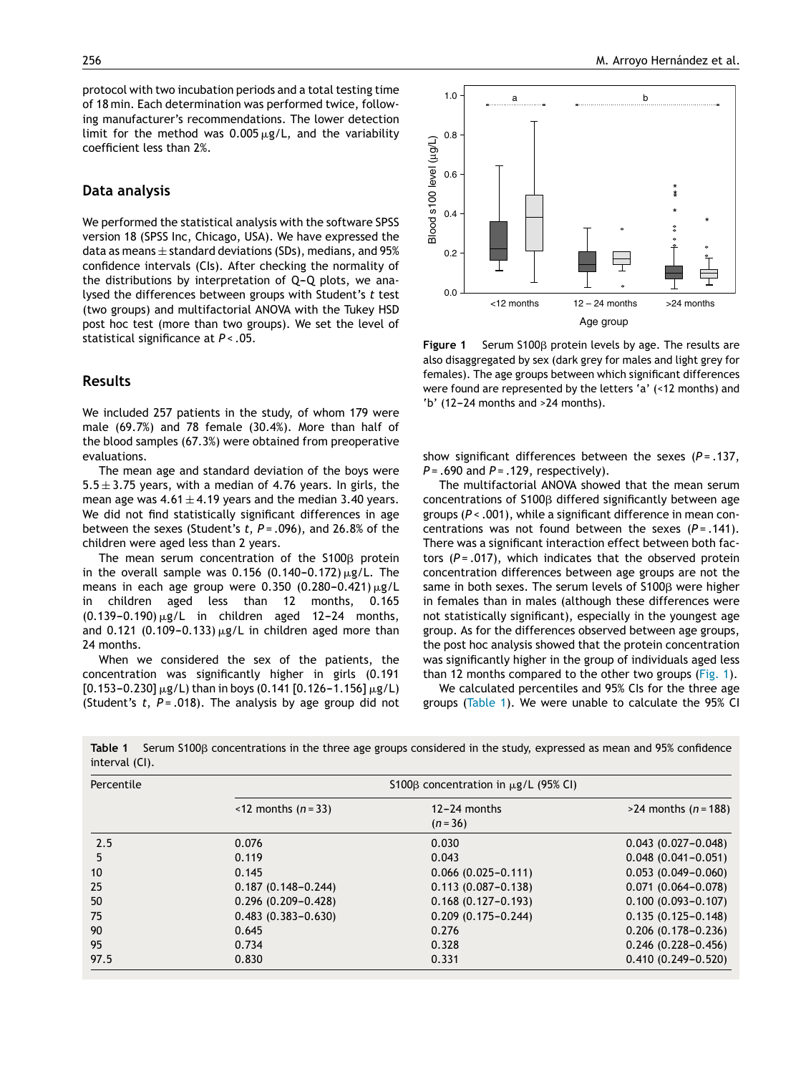protocol with two incubation periods and a total testing time of 18 min. Each determination was performed twice, following manufacturer's recommendations. The lower detection limit for the method was  $0.005 \mu$ g/L, and the variability coefficient less than 2%.

### **Data analysis**

We performed the statistical analysis with the software SPSS version 18 (SPSS Inc, Chicago, USA). We have expressed the data as means  $\pm$  standard deviations (SDs), medians, and 95% confidence intervals (CIs). After checking the normality of the distributions by interpretation of  $Q-Q$  plots, we analysed the differences between groups with Student's *t* test (two groups) and multifactorial ANOVA with the Tukey HSD post hoc test (more than two groups). We set the level of statistical significance at *P* < .05.

### **Results**

We included 257 patients in the study, of whom 179 were male (69.7%) and 78 female (30.4%). More than half of the blood samples (67.3%) were obtained from preoperative evaluations.

The mean age and standard deviation of the boys were  $5.5 \pm 3.75$  years, with a median of 4.76 years. In girls, the mean age was  $4.61 \pm 4.19$  years and the median 3.40 years. We did not find statistically significant differences in age between the sexes (Student's *t*, *P* = .096), and 26.8% of the children were aged less than 2 years.

The mean serum concentration of the S100 $\beta$  protein in the overall sample was  $0.156$  (0.140-0.172)  $\mu$ g/L. The means in each age group were  $0.350$  (0.280-0.421)  $\mu$ g/L in children aged less than 12 months, 0.165  $(0.139-0.190) \mu g/L$  in children aged 12-24 months, and 0.121 (0.109-0.133)  $\mu$ g/L in children aged more than 24 months.

When we considered the sex of the patients, the concentration was significantly higher in girls (0.191  $[0.153-0.230] \,\mu$ g/L) than in boys (0.141  $[0.126-1.156] \,\mu$ g/L) (Student's *t*, *P* = .018). The analysis by age group did not



**Figure 1** Serum S100<sub>B</sub> protein levels by age. The results are also disaggregated by sex (dark grey for males and light grey for females). The age groups between which significant differences were found are represented by the letters 'a' (<12 months) and 'b'  $(12-24$  months and  $>24$  months).

show significant differences between the sexes (*P* = .137, *P* = .690 and *P* = .129, respectively).

The multifactorial ANOVA showed that the mean serum  $concentrations$  of S100 $\beta$  differed significantly between age groups (*P* < .001), while a significant difference in mean concentrations was not found between the sexes  $(P = .141)$ . There was a significant interaction effect between both factors (*P* = .017), which indicates that the observed protein concentration differences between age groups are not the same in both sexes. The serum levels of  $S100\beta$  were higher in females than in males (although these differences were not statistically significant), especially in the youngest age group. As for the differences observed between age groups, the post hoc analysis showed that the protein concentration was significantly higher in the group of individuals aged less than 12 months compared to the other two groups (Fig. 1).

We calculated percentiles and 95% CIs for the three age groups (Table 1). We were unable to calculate the 95% CI

Table 1  $\,$  Serum S100ß concentrations in the three age groups considered in the study, expressed as mean and 95% confidence interval (CI).

| Percentile |                                  | S100 $\beta$ concentration in $\mu$ g/L (95% CI) |                                |  |  |
|------------|----------------------------------|--------------------------------------------------|--------------------------------|--|--|
|            | $\le$ 12 months ( <i>n</i> = 33) | $12 - 24$ months<br>$(n=36)$                     | $>24$ months ( <i>n</i> = 188) |  |  |
| 2.5        | 0.076                            | 0.030                                            | $0.043(0.027 - 0.048)$         |  |  |
| 5          | 0.119                            | 0.043                                            | $0.048(0.041 - 0.051)$         |  |  |
| 10         | 0.145                            | $0.066(0.025 - 0.111)$                           | $0.053(0.049 - 0.060)$         |  |  |
| 25         | $0.187(0.148 - 0.244)$           | $0.113(0.087 - 0.138)$                           | $0.071(0.064 - 0.078)$         |  |  |
| 50         | $0.296(0.209 - 0.428)$           | $0.168(0.127 - 0.193)$                           | $0.100(0.093 - 0.107)$         |  |  |
| 75         | $0.483(0.383 - 0.630)$           | $0.209(0.175 - 0.244)$                           | $0.135(0.125 - 0.148)$         |  |  |
| 90         | 0.645                            | 0.276                                            | $0.206(0.178 - 0.236)$         |  |  |
| 95         | 0.734                            | 0.328                                            | $0.246(0.228 - 0.456)$         |  |  |
| 97.5       | 0.830                            | 0.331                                            | $0.410(0.249 - 0.520)$         |  |  |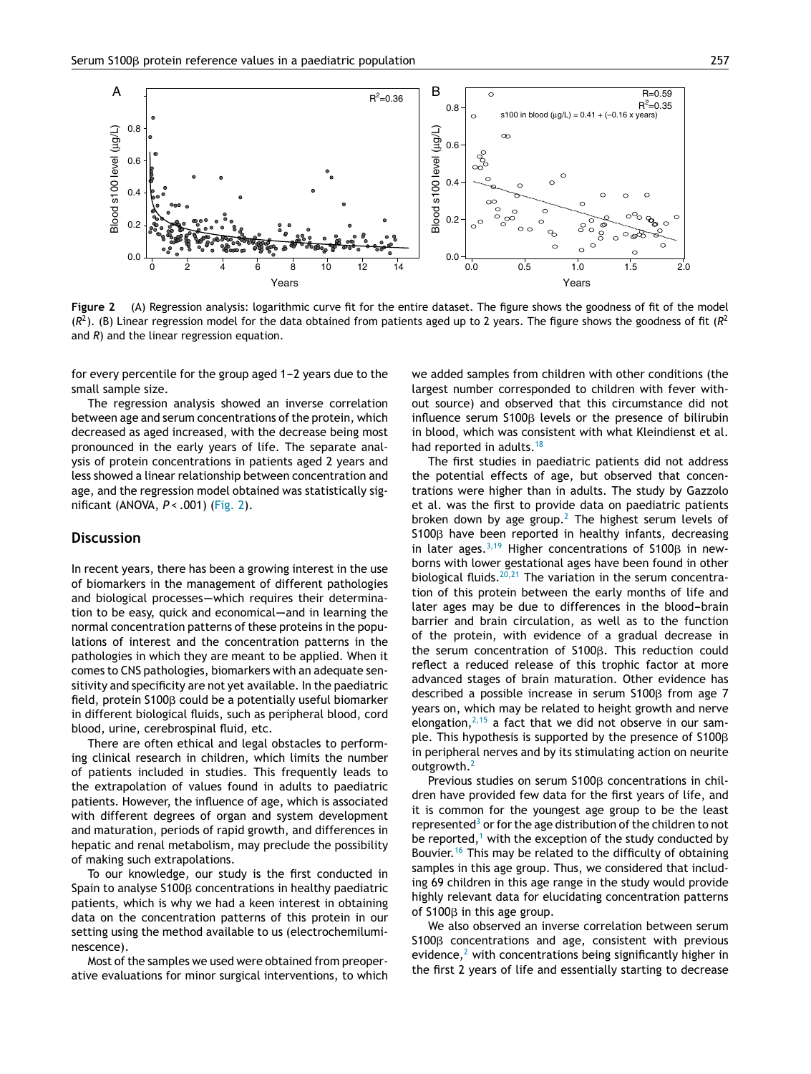

**Figure 2** (A) Regression analysis: logarithmic curve fit for the entire dataset. The figure shows the goodness of fit of the model (*R* 2 ). (B) Linear regression model for the data obtained from patients aged up to 2 years. The figure shows the goodness of fit (*R* 2 and *R*) and the linear regression equation.

for every percentile for the group aged 1-2 years due to the small sample size.

The regression analysis showed an inverse correlation between age and serum concentrations of the protein, which decreased as aged increased, with the decrease being most pronounced in the early years of life. The separate analysis of protein concentrations in patients aged 2 years and less showed a linear relationship between concentration and age, and the regression model obtained was statistically significant (ANOVA, *P* < .001) (Fig. 2).

### **Discussion**

In recent years, there has been a growing interest in the use of biomarkers in the management of different pathologies and biological processes-which requires their determination to be easy, quick and economical—and in learning the normal concentration patterns of these proteins in the populations of interest and the concentration patterns in the pathologies in which they are meant to be applied. When it comes to CNS pathologies, biomarkers with an adequate sensitivity and specificity are not yet available. In the paediatric field, protein S100ß could be a potentially useful biomarker in different biological fluids, such as peripheral blood, cord blood, urine, cerebrospinal fluid, etc.

There are often ethical and legal obstacles to performing clinical research in children, which limits the number of patients included in studies. This frequently leads to the extrapolation of values found in adults to paediatric patients. However, the influence of age, which is associated with different degrees of organ and system development and maturation, periods of rapid growth, and differences in hepatic and renal metabolism, may preclude the possibility of making such extrapolations.

To our knowledge, our study is the first conducted in Spain to analyse S100 $\beta$  concentrations in healthy paediatric patients, which is why we had a keen interest in obtaining data on the concentration patterns of this protein in our setting using the method available to us (electrochemiluminescence).

Most of the samples we used were obtained from preoperative evaluations for minor surgical interventions, to which we added samples from children with other conditions (the largest number corresponded to children with fever without source) and observed that this circumstance did not influence serum  $S100\beta$  levels or the presence of bilirubin in blood, which was consistent with what Kleindienst et al. had reported in adults.<sup>[18](#page-5-0)</sup>

The first studies in paediatric patients did not address the potential effects of age, but observed that concentrations were higher than in adults. The study by Gazzolo et al. was the first to provide data on paediatric patients broken down by age group.<sup>[2](#page-4-0)</sup> The highest serum levels of  $S100\beta$  have been reported in healthy infants, decreasing in later ages.<sup>[3,19](#page-4-0)</sup> Higher concentrations of S100 $\beta$  in newborns with lower gestational ages have been found in other biological fluids. $20,21$  The variation in the serum concentration of this protein between the early months of life and later ages may be due to differences in the blood-brain barrier and brain circulation, as well as to the function of the protein, with evidence of a gradual decrease in the serum concentration of  $S100\beta$ . This reduction could reflect a reduced release of this trophic factor at more advanced stages of brain maturation. Other evidence has described a possible increase in serum  $$100\beta$  from age 7 years on, which may be related to height growth and nerve elongation, $2,15$  a fact that we did not observe in our sample. This hypothesis is supported by the presence of  $\text{S100}\beta$ in peripheral nerves and by its stimulating action on neurite outgrowth.<sup>[2](#page-4-0)</sup>

Previous studies on serum  $S100\beta$  concentrations in children have provided few data for the first years of life, and it is common for the youngest age group to be the least represented $3$  [o](#page-4-0)r for the age distribution of the children to not be reported, $1$  [w](#page-4-0)ith the exception of the study conducted by Bouvier.<sup>[16](#page-5-0)</sup> This may be related to the difficulty of obtaining samples in this age group. Thus, we considered that including 69 children in this age range in the study would provide highly relevant data for elucidating concentration patterns of  $S100\beta$  in this age group.

We also observed an inverse correlation between serum  $S100\beta$  concentrations and age, consistent with previous evidence, $<sup>2</sup>$  $<sup>2</sup>$  $<sup>2</sup>$  with concentrations being significantly higher in</sup> the first 2 years of life and essentially starting to decrease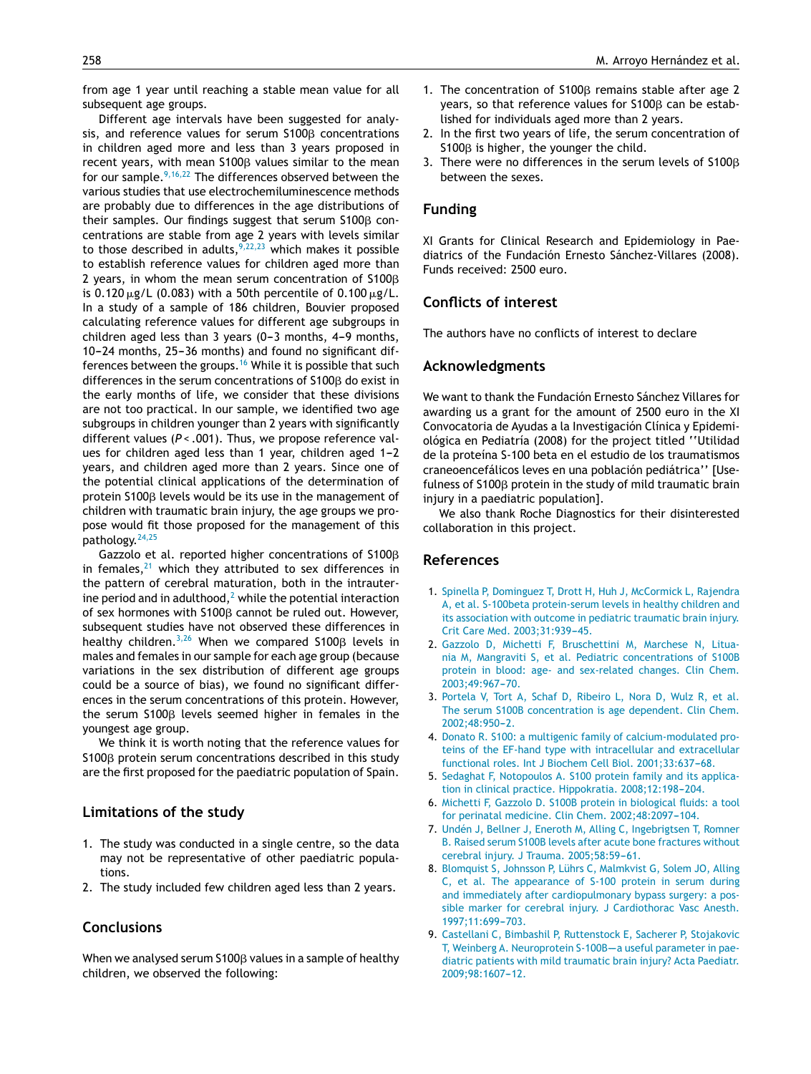from age 1 year until reaching a stable mean value for all subsequent age groups.

Different age intervals have been suggested for analysis, and reference values for serum  $\mathsf{S100\beta}$  concentrations in children aged more and less than 3 years proposed in recent years, with mean S100 $\beta$  values similar to the mean for our sample.<sup>9,16,22</sup> The differences observed between the various studies that use electrochemiluminescence methods are probably due to differences in the age distributions of their samples. Our findings suggest that serum  $\text{S100}\beta$  concentrations are stable from age 2 years with levels similar to those described in adults,  $9,22,23$  which makes it possible to establish reference values for children aged more than 2 years, in whom the mean serum concentration of S100 $\beta$ is 0.120  $\mu$ g/L (0.083) with a 50th percentile of 0.100  $\mu$ g/L. In a study of a sample of 186 children, Bouvier proposed calculating reference values for different age subgroups in children aged less than  $3$  years (0-3 months, 4-9 months,  $10-24$  months,  $25-36$  months) and found no significant differences between the groups.[16](#page-5-0) While it is possible that such differences in the serum concentrations of S100 $\beta$  do exist in the early months of life, we consider that these divisions are not too practical. In our sample, we identified two age subgroups in children younger than 2 years with significantly different values (*P* < .001). Thus, we propose reference values for children aged less than 1 year, children aged 1-2 years, and children aged more than 2 years. Since one of the potential clinical applications of the determination of protein <code>S100</code>β levels would be its use in the management of children with traumatic brain injury, the age groups we propose would fit those proposed for the management of this pathology.<sup>[24,25](#page-5-0)</sup>

Gazzolo et al. reported higher concentrations of S100 $\beta$ in females, $21$  which they attributed to sex differences in the pattern of cerebral maturation, both in the intrauterine period and in adulthood, $2$  while the potential interaction of sex hormones with  $S100\beta$  cannot be ruled out. However, subsequent studies have not observed these differences in healthy children.<sup>3,26</sup> When we compared S100 $\beta$  levels in males and females in our sample for each age group (because variations in the sex distribution of different age groups could be a source of bias), we found no significant differences in the serum concentrations of this protein. However, the serum  $S100\beta$  levels seemed higher in females in the youngest age group.

We think it is worth noting that the reference values for S100ß protein serum concentrations described in this study are the first proposed for the paediatric population of Spain.

#### **Limitations of the study**

- 1. The study was conducted in a single centre, so the data may not be representative of other paediatric populations.
- 2. The study included few children aged less than 2 years.

## **Conclusions**

When we analysed serum <code>S100</code>β values in a sample of healthy children, we observed the following:

- <span id="page-4-0"></span>258 M. Arroyo Hernández et al.
	- 1. The concentration of  $S100\beta$  remains stable after age 2 years, so that reference values for  $S100\beta$  can be established for individuals aged more than 2 years.
	- 2. In the first two years of life, the serum concentration of  $S100\beta$  is higher, the younger the child.
	- 3. There were no differences in the serum levels of  $S100\beta$ between the sexes.

### **Funding**

XI Grants for Clinical Research and Epidemiology in Paediatrics of the Fundación Ernesto Sánchez-Villares (2008). Funds received: 2500 euro.

#### **Conflicts of interest**

The authors have no conflicts of interest to declare

#### **Acknowledgments**

We want to thank the Fundación Ernesto Sánchez Villares for awarding us a grant for the amount of 2500 euro in the XI Convocatoria de Ayudas a la Investigación Clínica y Epidemiológica en Pediatría (2008) for the project titled ''Utilidad de la proteína S-100 beta en el estudio de los traumatismos craneoencefálicos leves en una población pediátrica'' [Usefulness of S100<sub>p</sub> protein in the study of mild traumatic brain injury in a paediatric population].

We also thank Roche Diagnostics for their disinterested collaboration in this project.

#### **References**

- 1. [Spinella](http://refhub.elsevier.com/S2341-2879(16)30006-0/sbref0135) [P,](http://refhub.elsevier.com/S2341-2879(16)30006-0/sbref0135) [Dominguez](http://refhub.elsevier.com/S2341-2879(16)30006-0/sbref0135) [T,](http://refhub.elsevier.com/S2341-2879(16)30006-0/sbref0135) [Drott](http://refhub.elsevier.com/S2341-2879(16)30006-0/sbref0135) [H,](http://refhub.elsevier.com/S2341-2879(16)30006-0/sbref0135) [Huh](http://refhub.elsevier.com/S2341-2879(16)30006-0/sbref0135) [J,](http://refhub.elsevier.com/S2341-2879(16)30006-0/sbref0135) [McCormick](http://refhub.elsevier.com/S2341-2879(16)30006-0/sbref0135) [L,](http://refhub.elsevier.com/S2341-2879(16)30006-0/sbref0135) [Rajendra](http://refhub.elsevier.com/S2341-2879(16)30006-0/sbref0135) [A,](http://refhub.elsevier.com/S2341-2879(16)30006-0/sbref0135) [et](http://refhub.elsevier.com/S2341-2879(16)30006-0/sbref0135) [al.](http://refhub.elsevier.com/S2341-2879(16)30006-0/sbref0135) [S-100beta](http://refhub.elsevier.com/S2341-2879(16)30006-0/sbref0135) [protein-serum](http://refhub.elsevier.com/S2341-2879(16)30006-0/sbref0135) [levels](http://refhub.elsevier.com/S2341-2879(16)30006-0/sbref0135) [in](http://refhub.elsevier.com/S2341-2879(16)30006-0/sbref0135) [healthy](http://refhub.elsevier.com/S2341-2879(16)30006-0/sbref0135) [children](http://refhub.elsevier.com/S2341-2879(16)30006-0/sbref0135) [and](http://refhub.elsevier.com/S2341-2879(16)30006-0/sbref0135) [its](http://refhub.elsevier.com/S2341-2879(16)30006-0/sbref0135) [association](http://refhub.elsevier.com/S2341-2879(16)30006-0/sbref0135) [with](http://refhub.elsevier.com/S2341-2879(16)30006-0/sbref0135) [outcome](http://refhub.elsevier.com/S2341-2879(16)30006-0/sbref0135) [in](http://refhub.elsevier.com/S2341-2879(16)30006-0/sbref0135) [pediatric](http://refhub.elsevier.com/S2341-2879(16)30006-0/sbref0135) [traumatic](http://refhub.elsevier.com/S2341-2879(16)30006-0/sbref0135) [brain](http://refhub.elsevier.com/S2341-2879(16)30006-0/sbref0135) [injury.](http://refhub.elsevier.com/S2341-2879(16)30006-0/sbref0135) [Crit](http://refhub.elsevier.com/S2341-2879(16)30006-0/sbref0135) [Care](http://refhub.elsevier.com/S2341-2879(16)30006-0/sbref0135) [Med.](http://refhub.elsevier.com/S2341-2879(16)30006-0/sbref0135) 2003;31:939-45.
- 2. [Gazzolo](http://refhub.elsevier.com/S2341-2879(16)30006-0/sbref0140) [D,](http://refhub.elsevier.com/S2341-2879(16)30006-0/sbref0140) [Michetti](http://refhub.elsevier.com/S2341-2879(16)30006-0/sbref0140) [F,](http://refhub.elsevier.com/S2341-2879(16)30006-0/sbref0140) [Bruschettini](http://refhub.elsevier.com/S2341-2879(16)30006-0/sbref0140) [M,](http://refhub.elsevier.com/S2341-2879(16)30006-0/sbref0140) [Marchese](http://refhub.elsevier.com/S2341-2879(16)30006-0/sbref0140) [N,](http://refhub.elsevier.com/S2341-2879(16)30006-0/sbref0140) [Litua](http://refhub.elsevier.com/S2341-2879(16)30006-0/sbref0140)[nia](http://refhub.elsevier.com/S2341-2879(16)30006-0/sbref0140) [M,](http://refhub.elsevier.com/S2341-2879(16)30006-0/sbref0140) [Mangraviti](http://refhub.elsevier.com/S2341-2879(16)30006-0/sbref0140) [S,](http://refhub.elsevier.com/S2341-2879(16)30006-0/sbref0140) [et](http://refhub.elsevier.com/S2341-2879(16)30006-0/sbref0140) [al.](http://refhub.elsevier.com/S2341-2879(16)30006-0/sbref0140) [Pediatric](http://refhub.elsevier.com/S2341-2879(16)30006-0/sbref0140) [concentrations](http://refhub.elsevier.com/S2341-2879(16)30006-0/sbref0140) [of](http://refhub.elsevier.com/S2341-2879(16)30006-0/sbref0140) [S100B](http://refhub.elsevier.com/S2341-2879(16)30006-0/sbref0140) [protein](http://refhub.elsevier.com/S2341-2879(16)30006-0/sbref0140) [in](http://refhub.elsevier.com/S2341-2879(16)30006-0/sbref0140) [blood:](http://refhub.elsevier.com/S2341-2879(16)30006-0/sbref0140) [age-](http://refhub.elsevier.com/S2341-2879(16)30006-0/sbref0140) [and](http://refhub.elsevier.com/S2341-2879(16)30006-0/sbref0140) [sex-related](http://refhub.elsevier.com/S2341-2879(16)30006-0/sbref0140) [changes.](http://refhub.elsevier.com/S2341-2879(16)30006-0/sbref0140) [Clin](http://refhub.elsevier.com/S2341-2879(16)30006-0/sbref0140) [Chem.](http://refhub.elsevier.com/S2341-2879(16)30006-0/sbref0140) 2003;49:967-70.
- 3. [Portela](http://refhub.elsevier.com/S2341-2879(16)30006-0/sbref0145) [V,](http://refhub.elsevier.com/S2341-2879(16)30006-0/sbref0145) [Tort](http://refhub.elsevier.com/S2341-2879(16)30006-0/sbref0145) [A,](http://refhub.elsevier.com/S2341-2879(16)30006-0/sbref0145) [Schaf](http://refhub.elsevier.com/S2341-2879(16)30006-0/sbref0145) [D,](http://refhub.elsevier.com/S2341-2879(16)30006-0/sbref0145) [Ribeiro](http://refhub.elsevier.com/S2341-2879(16)30006-0/sbref0145) [L,](http://refhub.elsevier.com/S2341-2879(16)30006-0/sbref0145) [Nora](http://refhub.elsevier.com/S2341-2879(16)30006-0/sbref0145) [D,](http://refhub.elsevier.com/S2341-2879(16)30006-0/sbref0145) [Wulz](http://refhub.elsevier.com/S2341-2879(16)30006-0/sbref0145) [R,](http://refhub.elsevier.com/S2341-2879(16)30006-0/sbref0145) [et](http://refhub.elsevier.com/S2341-2879(16)30006-0/sbref0145) [al.](http://refhub.elsevier.com/S2341-2879(16)30006-0/sbref0145) [The](http://refhub.elsevier.com/S2341-2879(16)30006-0/sbref0145) [serum](http://refhub.elsevier.com/S2341-2879(16)30006-0/sbref0145) [S100B](http://refhub.elsevier.com/S2341-2879(16)30006-0/sbref0145) [concentration](http://refhub.elsevier.com/S2341-2879(16)30006-0/sbref0145) [is](http://refhub.elsevier.com/S2341-2879(16)30006-0/sbref0145) [age](http://refhub.elsevier.com/S2341-2879(16)30006-0/sbref0145) [dependent.](http://refhub.elsevier.com/S2341-2879(16)30006-0/sbref0145) [Clin](http://refhub.elsevier.com/S2341-2879(16)30006-0/sbref0145) [Chem.](http://refhub.elsevier.com/S2341-2879(16)30006-0/sbref0145) 2002:48:950-2.
- 4. [Donato](http://refhub.elsevier.com/S2341-2879(16)30006-0/sbref0150) [R.](http://refhub.elsevier.com/S2341-2879(16)30006-0/sbref0150) [S100:](http://refhub.elsevier.com/S2341-2879(16)30006-0/sbref0150) [a](http://refhub.elsevier.com/S2341-2879(16)30006-0/sbref0150) [multigenic](http://refhub.elsevier.com/S2341-2879(16)30006-0/sbref0150) [family](http://refhub.elsevier.com/S2341-2879(16)30006-0/sbref0150) [of](http://refhub.elsevier.com/S2341-2879(16)30006-0/sbref0150) [calcium-modulated](http://refhub.elsevier.com/S2341-2879(16)30006-0/sbref0150) [pro](http://refhub.elsevier.com/S2341-2879(16)30006-0/sbref0150)[teins](http://refhub.elsevier.com/S2341-2879(16)30006-0/sbref0150) [of](http://refhub.elsevier.com/S2341-2879(16)30006-0/sbref0150) [the](http://refhub.elsevier.com/S2341-2879(16)30006-0/sbref0150) [EF-hand](http://refhub.elsevier.com/S2341-2879(16)30006-0/sbref0150) [type](http://refhub.elsevier.com/S2341-2879(16)30006-0/sbref0150) [with](http://refhub.elsevier.com/S2341-2879(16)30006-0/sbref0150) [intracellular](http://refhub.elsevier.com/S2341-2879(16)30006-0/sbref0150) [and](http://refhub.elsevier.com/S2341-2879(16)30006-0/sbref0150) [extracellular](http://refhub.elsevier.com/S2341-2879(16)30006-0/sbref0150) [functional](http://refhub.elsevier.com/S2341-2879(16)30006-0/sbref0150) [roles.](http://refhub.elsevier.com/S2341-2879(16)30006-0/sbref0150) [Int](http://refhub.elsevier.com/S2341-2879(16)30006-0/sbref0150) [J](http://refhub.elsevier.com/S2341-2879(16)30006-0/sbref0150) [Biochem](http://refhub.elsevier.com/S2341-2879(16)30006-0/sbref0150) [Cell](http://refhub.elsevier.com/S2341-2879(16)30006-0/sbref0150) [Biol.](http://refhub.elsevier.com/S2341-2879(16)30006-0/sbref0150) 2001;33:637-68.
- 5. [Sedaghat](http://refhub.elsevier.com/S2341-2879(16)30006-0/sbref0155) [F,](http://refhub.elsevier.com/S2341-2879(16)30006-0/sbref0155) [Notopoulos](http://refhub.elsevier.com/S2341-2879(16)30006-0/sbref0155) [A.](http://refhub.elsevier.com/S2341-2879(16)30006-0/sbref0155) [S100](http://refhub.elsevier.com/S2341-2879(16)30006-0/sbref0155) [protein](http://refhub.elsevier.com/S2341-2879(16)30006-0/sbref0155) [family](http://refhub.elsevier.com/S2341-2879(16)30006-0/sbref0155) [and](http://refhub.elsevier.com/S2341-2879(16)30006-0/sbref0155) [its](http://refhub.elsevier.com/S2341-2879(16)30006-0/sbref0155) [applica](http://refhub.elsevier.com/S2341-2879(16)30006-0/sbref0155)[tion](http://refhub.elsevier.com/S2341-2879(16)30006-0/sbref0155) [in](http://refhub.elsevier.com/S2341-2879(16)30006-0/sbref0155) [clinical](http://refhub.elsevier.com/S2341-2879(16)30006-0/sbref0155) [practice.](http://refhub.elsevier.com/S2341-2879(16)30006-0/sbref0155) [Hippokratia.](http://refhub.elsevier.com/S2341-2879(16)30006-0/sbref0155) 2008;12:198-204.
- 6. [Michetti](http://refhub.elsevier.com/S2341-2879(16)30006-0/sbref0160) [F,](http://refhub.elsevier.com/S2341-2879(16)30006-0/sbref0160) [Gazzolo](http://refhub.elsevier.com/S2341-2879(16)30006-0/sbref0160) [D.](http://refhub.elsevier.com/S2341-2879(16)30006-0/sbref0160) [S100B](http://refhub.elsevier.com/S2341-2879(16)30006-0/sbref0160) [protein](http://refhub.elsevier.com/S2341-2879(16)30006-0/sbref0160) [in](http://refhub.elsevier.com/S2341-2879(16)30006-0/sbref0160) [biological](http://refhub.elsevier.com/S2341-2879(16)30006-0/sbref0160) [fluids:](http://refhub.elsevier.com/S2341-2879(16)30006-0/sbref0160) [a](http://refhub.elsevier.com/S2341-2879(16)30006-0/sbref0160) [tool](http://refhub.elsevier.com/S2341-2879(16)30006-0/sbref0160) [for](http://refhub.elsevier.com/S2341-2879(16)30006-0/sbref0160) [perinatal](http://refhub.elsevier.com/S2341-2879(16)30006-0/sbref0160) [medicine.](http://refhub.elsevier.com/S2341-2879(16)30006-0/sbref0160) [Clin](http://refhub.elsevier.com/S2341-2879(16)30006-0/sbref0160) [Chem.](http://refhub.elsevier.com/S2341-2879(16)30006-0/sbref0160) 2002;48:2097-104.
- 7. [Undén](http://refhub.elsevier.com/S2341-2879(16)30006-0/sbref0165) [J,](http://refhub.elsevier.com/S2341-2879(16)30006-0/sbref0165) [Bellner](http://refhub.elsevier.com/S2341-2879(16)30006-0/sbref0165) [J,](http://refhub.elsevier.com/S2341-2879(16)30006-0/sbref0165) [Eneroth](http://refhub.elsevier.com/S2341-2879(16)30006-0/sbref0165) [M,](http://refhub.elsevier.com/S2341-2879(16)30006-0/sbref0165) [Alling](http://refhub.elsevier.com/S2341-2879(16)30006-0/sbref0165) [C,](http://refhub.elsevier.com/S2341-2879(16)30006-0/sbref0165) [Ingebrigtsen](http://refhub.elsevier.com/S2341-2879(16)30006-0/sbref0165) [T,](http://refhub.elsevier.com/S2341-2879(16)30006-0/sbref0165) [Romner](http://refhub.elsevier.com/S2341-2879(16)30006-0/sbref0165) [B.](http://refhub.elsevier.com/S2341-2879(16)30006-0/sbref0165) [Raised](http://refhub.elsevier.com/S2341-2879(16)30006-0/sbref0165) [serum](http://refhub.elsevier.com/S2341-2879(16)30006-0/sbref0165) [S100B](http://refhub.elsevier.com/S2341-2879(16)30006-0/sbref0165) [levels](http://refhub.elsevier.com/S2341-2879(16)30006-0/sbref0165) [after](http://refhub.elsevier.com/S2341-2879(16)30006-0/sbref0165) [acute](http://refhub.elsevier.com/S2341-2879(16)30006-0/sbref0165) [bone](http://refhub.elsevier.com/S2341-2879(16)30006-0/sbref0165) [fractures](http://refhub.elsevier.com/S2341-2879(16)30006-0/sbref0165) [without](http://refhub.elsevier.com/S2341-2879(16)30006-0/sbref0165) [cerebral](http://refhub.elsevier.com/S2341-2879(16)30006-0/sbref0165) [injury.](http://refhub.elsevier.com/S2341-2879(16)30006-0/sbref0165) [J](http://refhub.elsevier.com/S2341-2879(16)30006-0/sbref0165) [Trauma.](http://refhub.elsevier.com/S2341-2879(16)30006-0/sbref0165) [2005;58:59](http://refhub.elsevier.com/S2341-2879(16)30006-0/sbref0165)-[61.](http://refhub.elsevier.com/S2341-2879(16)30006-0/sbref0165)
- 8. [Blomquist](http://refhub.elsevier.com/S2341-2879(16)30006-0/sbref0170) [S,](http://refhub.elsevier.com/S2341-2879(16)30006-0/sbref0170) [Johnsson](http://refhub.elsevier.com/S2341-2879(16)30006-0/sbref0170) [P,](http://refhub.elsevier.com/S2341-2879(16)30006-0/sbref0170) [Lührs](http://refhub.elsevier.com/S2341-2879(16)30006-0/sbref0170) [C,](http://refhub.elsevier.com/S2341-2879(16)30006-0/sbref0170) [Malmkvist](http://refhub.elsevier.com/S2341-2879(16)30006-0/sbref0170) [G,](http://refhub.elsevier.com/S2341-2879(16)30006-0/sbref0170) [Solem](http://refhub.elsevier.com/S2341-2879(16)30006-0/sbref0170) [JO,](http://refhub.elsevier.com/S2341-2879(16)30006-0/sbref0170) [Alling](http://refhub.elsevier.com/S2341-2879(16)30006-0/sbref0170) [C,](http://refhub.elsevier.com/S2341-2879(16)30006-0/sbref0170) [et](http://refhub.elsevier.com/S2341-2879(16)30006-0/sbref0170) [al.](http://refhub.elsevier.com/S2341-2879(16)30006-0/sbref0170) [The](http://refhub.elsevier.com/S2341-2879(16)30006-0/sbref0170) [appearance](http://refhub.elsevier.com/S2341-2879(16)30006-0/sbref0170) [of](http://refhub.elsevier.com/S2341-2879(16)30006-0/sbref0170) [S-100](http://refhub.elsevier.com/S2341-2879(16)30006-0/sbref0170) [protein](http://refhub.elsevier.com/S2341-2879(16)30006-0/sbref0170) [in](http://refhub.elsevier.com/S2341-2879(16)30006-0/sbref0170) [serum](http://refhub.elsevier.com/S2341-2879(16)30006-0/sbref0170) [during](http://refhub.elsevier.com/S2341-2879(16)30006-0/sbref0170) [and](http://refhub.elsevier.com/S2341-2879(16)30006-0/sbref0170) [immediately](http://refhub.elsevier.com/S2341-2879(16)30006-0/sbref0170) [after](http://refhub.elsevier.com/S2341-2879(16)30006-0/sbref0170) [cardiopulmonary](http://refhub.elsevier.com/S2341-2879(16)30006-0/sbref0170) [bypass](http://refhub.elsevier.com/S2341-2879(16)30006-0/sbref0170) [surgery:](http://refhub.elsevier.com/S2341-2879(16)30006-0/sbref0170) [a](http://refhub.elsevier.com/S2341-2879(16)30006-0/sbref0170) [pos](http://refhub.elsevier.com/S2341-2879(16)30006-0/sbref0170)[sible](http://refhub.elsevier.com/S2341-2879(16)30006-0/sbref0170) [marker](http://refhub.elsevier.com/S2341-2879(16)30006-0/sbref0170) [for](http://refhub.elsevier.com/S2341-2879(16)30006-0/sbref0170) [cerebral](http://refhub.elsevier.com/S2341-2879(16)30006-0/sbref0170) [injury.](http://refhub.elsevier.com/S2341-2879(16)30006-0/sbref0170) [J](http://refhub.elsevier.com/S2341-2879(16)30006-0/sbref0170) [Cardiothorac](http://refhub.elsevier.com/S2341-2879(16)30006-0/sbref0170) [Vasc](http://refhub.elsevier.com/S2341-2879(16)30006-0/sbref0170) [Anesth.](http://refhub.elsevier.com/S2341-2879(16)30006-0/sbref0170) [1997;11:699](http://refhub.elsevier.com/S2341-2879(16)30006-0/sbref0170)-[703.](http://refhub.elsevier.com/S2341-2879(16)30006-0/sbref0170)
- 9. [Castellani](http://refhub.elsevier.com/S2341-2879(16)30006-0/sbref0175) [C,](http://refhub.elsevier.com/S2341-2879(16)30006-0/sbref0175) [Bimbashil](http://refhub.elsevier.com/S2341-2879(16)30006-0/sbref0175) [P,](http://refhub.elsevier.com/S2341-2879(16)30006-0/sbref0175) [Ruttenstock](http://refhub.elsevier.com/S2341-2879(16)30006-0/sbref0175) [E,](http://refhub.elsevier.com/S2341-2879(16)30006-0/sbref0175) [Sacherer](http://refhub.elsevier.com/S2341-2879(16)30006-0/sbref0175) [P,](http://refhub.elsevier.com/S2341-2879(16)30006-0/sbref0175) [Stojakovic](http://refhub.elsevier.com/S2341-2879(16)30006-0/sbref0175) [T,](http://refhub.elsevier.com/S2341-2879(16)30006-0/sbref0175) [Weinberg](http://refhub.elsevier.com/S2341-2879(16)30006-0/sbref0175) [A.](http://refhub.elsevier.com/S2341-2879(16)30006-0/sbref0175) [Neuroprotein](http://refhub.elsevier.com/S2341-2879(16)30006-0/sbref0175) S-100B-a [useful](http://refhub.elsevier.com/S2341-2879(16)30006-0/sbref0175) [parameter](http://refhub.elsevier.com/S2341-2879(16)30006-0/sbref0175) [in](http://refhub.elsevier.com/S2341-2879(16)30006-0/sbref0175) [pae](http://refhub.elsevier.com/S2341-2879(16)30006-0/sbref0175)[diatric](http://refhub.elsevier.com/S2341-2879(16)30006-0/sbref0175) [patients](http://refhub.elsevier.com/S2341-2879(16)30006-0/sbref0175) [with](http://refhub.elsevier.com/S2341-2879(16)30006-0/sbref0175) [mild](http://refhub.elsevier.com/S2341-2879(16)30006-0/sbref0175) [traumatic](http://refhub.elsevier.com/S2341-2879(16)30006-0/sbref0175) [brain](http://refhub.elsevier.com/S2341-2879(16)30006-0/sbref0175) [injury?](http://refhub.elsevier.com/S2341-2879(16)30006-0/sbref0175) [Acta](http://refhub.elsevier.com/S2341-2879(16)30006-0/sbref0175) [Paediatr.](http://refhub.elsevier.com/S2341-2879(16)30006-0/sbref0175) 2009;98:1607-12.